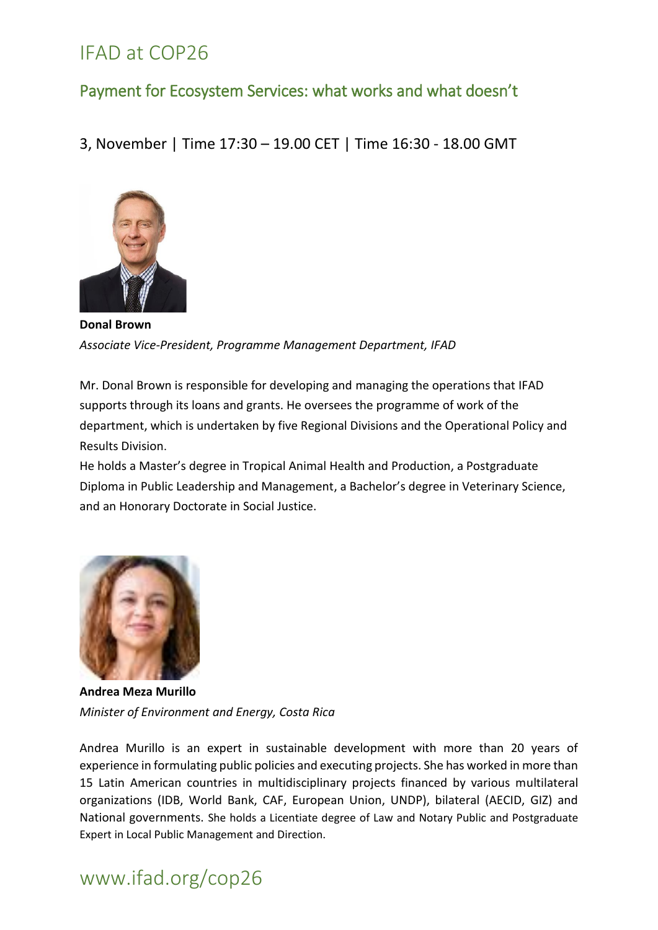#### Payment for Ecosystem Services: what works and what doesn't

3, November | Time 17:30 – 19.00 CET | Time 16:30 - 18.00 GMT



**Donal Brown** *Associate Vice-President, Programme Management Department, IFAD*

Mr. Donal Brown is responsible for developing and managing the operations that IFAD supports through its loans and grants. He oversees the programme of work of the department, which is undertaken by five Regional Divisions and the Operational Policy and Results Division.

He holds a Master's degree in Tropical Animal Health and Production, a Postgraduate Diploma in Public Leadership and Management, a Bachelor's degree in Veterinary Science, and an Honorary Doctorate in Social Justice.



**Andrea Meza Murillo** *Minister of Environment and Energy, Costa Rica*

Andrea Murillo is an expert in sustainable development with more than 20 years of experience in formulating public policies and executing projects. She has worked in more than 15 Latin American countries in multidisciplinary projects financed by various multilateral organizations (IDB, World Bank, CAF, European Union, UNDP), bilateral (AECID, GIZ) and National governments. She holds a Licentiate degree of Law and Notary Public and Postgraduate Expert in Local Public Management and Direction.

# www.ifad.org/cop26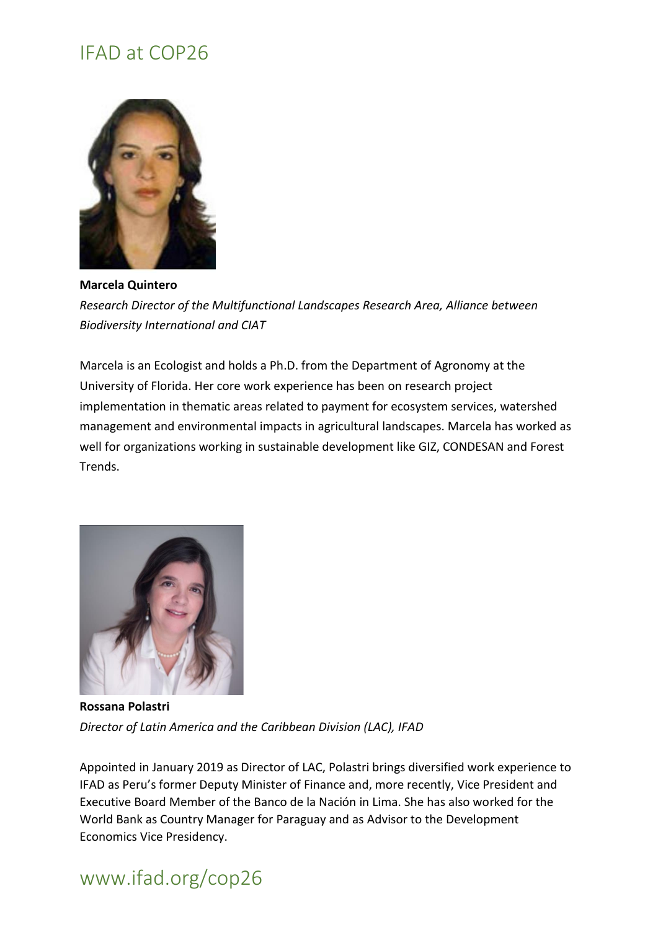

**Marcela Quintero**  *Research Director of the Multifunctional Landscapes Research Area, Alliance between Biodiversity International and CIAT*

Marcela is an Ecologist and holds a Ph.D. from the Department of Agronomy at the University of Florida. Her core work experience has been on research project implementation in thematic areas related to payment for ecosystem services, watershed management and environmental impacts in agricultural landscapes. Marcela has worked as well for organizations working in sustainable development like GIZ, CONDESAN and Forest Trends.



**Rossana Polastri** *Director of Latin America and the Caribbean Division (LAC), IFAD*

Appointed in January 2019 as Director of LAC, Polastri brings diversified work experience to IFAD as Peru's former Deputy Minister of Finance and, more recently, Vice President and Executive Board Member of the Banco de la Nación in Lima. She has also worked for the World Bank as Country Manager for Paraguay and as Advisor to the Development Economics Vice Presidency.

# www.ifad.org/cop26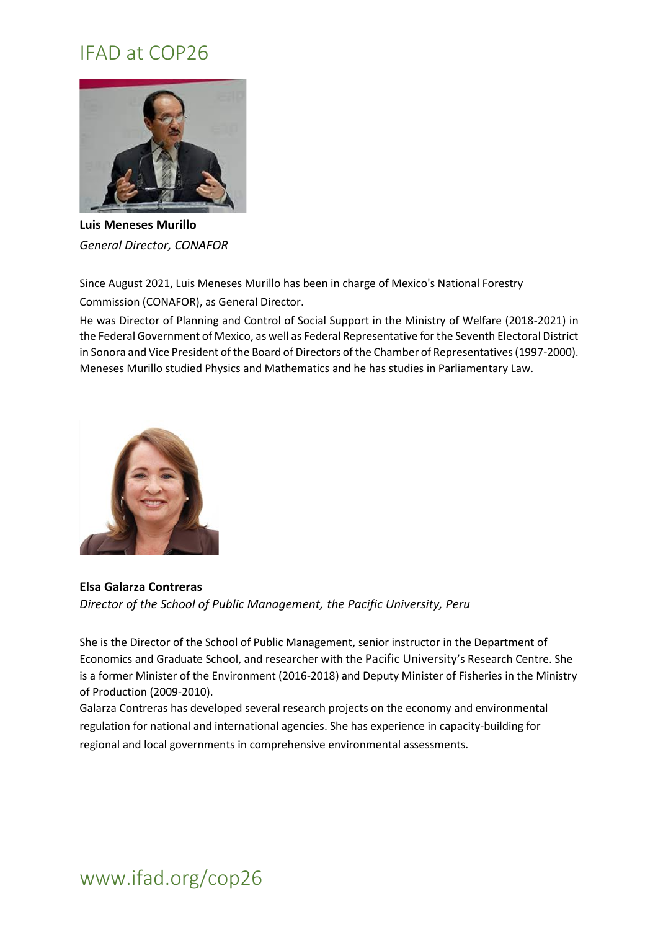

**Luis Meneses Murillo** *General Director, CONAFOR* 

Since August 2021, Luis Meneses Murillo has been in charge of Mexico's National Forestry Commission (CONAFOR), as General Director.

He was Director of Planning and Control of Social Support in the Ministry of Welfare (2018-2021) in the Federal Government of Mexico, as well as Federal Representative for the Seventh Electoral District in Sonora and Vice President of the Board of Directors of the Chamber of Representatives (1997-2000). Meneses Murillo studied Physics and Mathematics and he has studies in Parliamentary Law.



**Elsa Galarza Contreras** *Director of the School of Public Management, the Pacific University, Peru*

She is the Director of the School of Public Management, senior instructor in the Department of Economics and Graduate School, and researcher with the Pacific University's Research Centre. She is a former Minister of the Environment (2016-2018) and Deputy Minister of Fisheries in the Ministry of Production (2009-2010).

Galarza Contreras has developed several research projects on the economy and environmental regulation for national and international agencies. She has experience in capacity-building for regional and local governments in comprehensive environmental assessments.

#### www.ifad.org/cop26